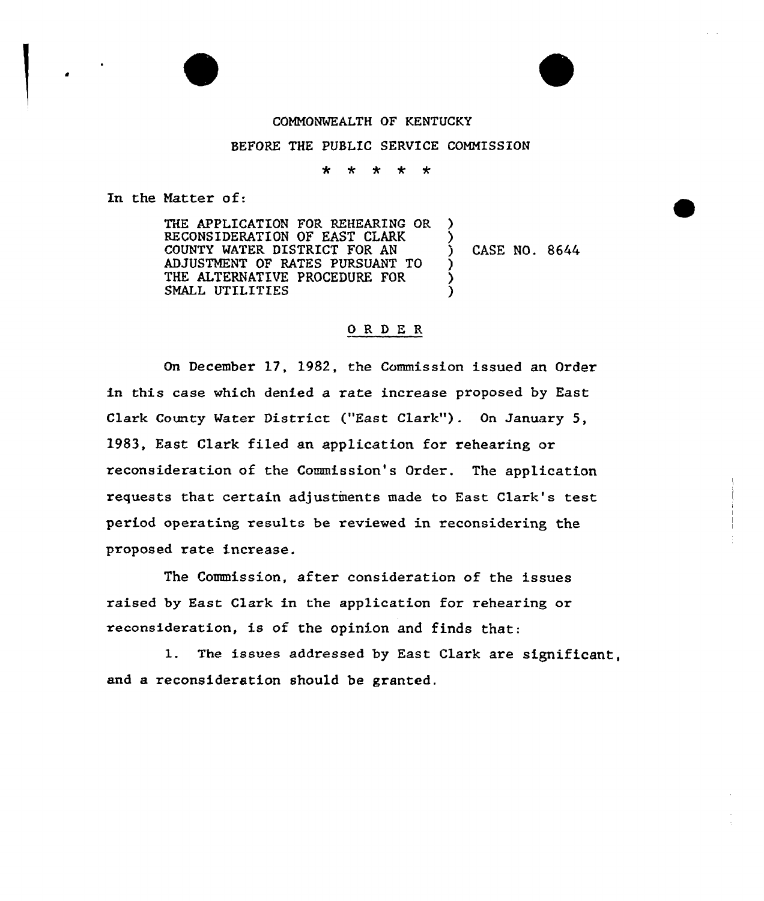## COMMONWEALTH OF KENTUCKY

## BEFORE THE PUBLIC SERVICE COMMISSION

 $\star$ - ± ∗ ∗

In the Hatter of:

THE APPLICATION FOR REHEARING OR RECONSIDERATION OF EAST CLARK COUNTY MATER DISTRICT FOR AN ADJUSTMENT OF RATES PURSUANT TO THE ALTERNATIVE PROCEDURE FOR SMALL UTILITIES

) CASE NO. 8644

) )

) ) )

## O R D E R

On December 17, 1982, the Commission issued an Order in this case which denied a rate increase proposed by East Clark County Water District ("East Clark"). On January 5, 1983, East Clark filed an application for rehearing or reconsideration of the Commission's Order. The application requests that certain adjustments made to East Clark's test period operating results be reviewed in reconsidering the proposed rate increase.

The Commission, after consideration of the issues raised by East Clark in the application for rehearing or reconsideration, is of the opinion and finds that:

l. The issues addressed by East Clark are significant, and a reconsideration should be granted.